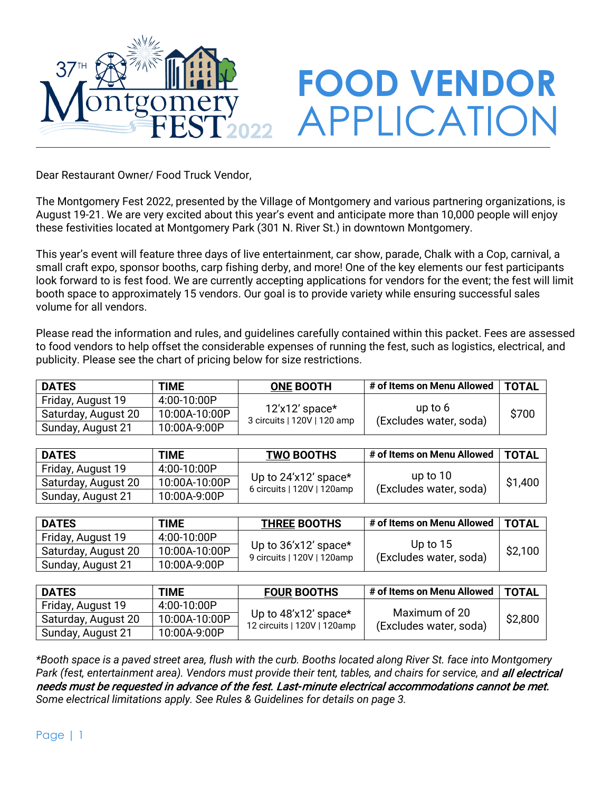

Dear Restaurant Owner/ Food Truck Vendor,

The Montgomery Fest 2022, presented by the Village of Montgomery and various partnering organizations, is August 19-21. We are very excited about this year's event and anticipate more than 10,000 people will enjoy these festivities located at Montgomery Park (301 N. River St.) in downtown Montgomery.

This year's event will feature three days of live entertainment, car show, parade, Chalk with a Cop, carnival, a small craft expo, sponsor booths, carp fishing derby, and more! One of the key elements our fest participants look forward to is fest food. We are currently accepting applications for vendors for the event; the fest will limit booth space to approximately 15 vendors. Our goal is to provide variety while ensuring successful sales volume for all vendors.

Please read the information and rules, and guidelines carefully contained within this packet. Fees are assessed to food vendors to help offset the considerable expenses of running the fest, such as logistics, electrical, and publicity. Please see the chart of pricing below for size restrictions.

| <b>DATES</b>        | <b>TIME</b>   | <b>ONE BOOTH</b>                                | # of Items on Menu Allowed        | <b>TOTAL</b> |
|---------------------|---------------|-------------------------------------------------|-----------------------------------|--------------|
| Friday, August 19   | 4:00-10:00P   |                                                 |                                   |              |
| Saturday, August 20 | 10:00A-10:00P | $12'x12'$ space*<br>3 circuits   120V   120 amp | up to 6<br>(Excludes water, soda) | \$700        |
| Sunday, August 21   | 10:00A-9:00P  |                                                 |                                   |              |

| <b>DATES</b>        | <b>TIME</b>   | <b>TWO BOOTHS</b>                                  | # of Items on Menu Allowed           | <b>TOTAL</b> |
|---------------------|---------------|----------------------------------------------------|--------------------------------------|--------------|
| Friday, August 19   | 4:00-10:00P   |                                                    |                                      |              |
| Saturday, August 20 | 10:00A-10:00P | Up to 24'x12' space*<br>6 circuits   120V   120amp | up to $10$<br>(Excludes water, soda) | \$1,400      |
| Sunday, August 21   | 10:00A-9:00P  |                                                    |                                      |              |

| <b>DATES</b>        | <b>TIME</b>   | <b>THREE BOOTHS</b>                                | # of Items on Menu Allowed           | <b>TOTAL</b> |
|---------------------|---------------|----------------------------------------------------|--------------------------------------|--------------|
| Friday, August 19   | 4:00-10:00P   |                                                    |                                      |              |
| Saturday, August 20 | 10:00A-10:00P | Up to 36'x12' space*<br>9 circuits   120V   120amp | Up to $15$<br>(Excludes water, soda) | \$2,100      |
| Sunday, August 21   | 10:00A-9:00P  |                                                    |                                      |              |

| <b>DATES</b>        | <b>TIME</b>   | <b>FOUR BOOTHS</b>                                  | # of Items on Menu Allowed | <b>TOTAL</b> |
|---------------------|---------------|-----------------------------------------------------|----------------------------|--------------|
| Friday, August 19   | 4:00-10:00P   |                                                     | Maximum of 20              |              |
| Saturday, August 20 | 10:00A-10:00P | Up to 48'x12' space*<br>12 circuits   120V   120amp | (Excludes water, soda)     | \$2,800      |
| Sunday, August 21   | 10:00A-9:00P  |                                                     |                            |              |

*\*Booth space is a paved street area, flush with the curb. Booths located along River St. face into Montgomery*  Park (fest, entertainment area). Vendors must provide their tent, tables, and chairs for service, and **all electrical** needs must be requested in advance of the fest. Last-minute electrical accommodations cannot be met. *Some electrical limitations apply. See Rules & Guidelines for details on page 3.*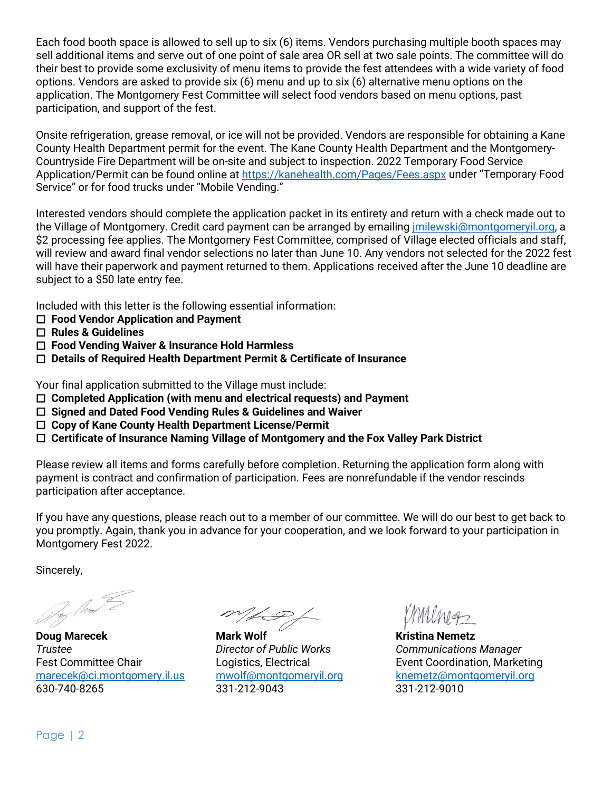Each food booth space is allowed to sell up to six (6) items. Vendors purchasing multiple booth spaces may sell additional items and serve out of one point of sale area OR sell at two sale points. The committee will do their best to provide some exclusivity of menu items to provide the fest attendees with a wide variety of food options. Vendors are asked to provide six (6) menu and up to six (6) alternative menu options on the application. The Montgomery Fest Committee will select food vendors based on menu options, past participation, and support of the fest.

Onsite refrigeration, grease removal, or ice will not be provided. Vendors are responsible for obtaining a Kane County Health Department permit for the event. The Kane County Health Department and the Montgomery-Countryside Fire Department will be on-site and subject to inspection. 2022 Temporary Food Service Application/Permit can be found online at<https://kanehealth.com/Pages/Fees.aspx> under "Temporary Food Service" or for food trucks under "Mobile Vending."

Interested vendors should complete the application packet in its entirety and return with a check made out to the Village of Montgomery. Credit card payment can be arranged by emailin[g jmilewski@montgomeryil.org,](mailto:jmilewski@montgomeryil.org) a \$2 processing fee applies. The Montgomery Fest Committee, comprised of Village elected officials and staff, will review and award final vendor selections no later than June 10. Any vendors not selected for the 2022 fest will have their paperwork and payment returned to them. Applications received after the June 10 deadline are subject to a \$50 late entry fee.

Included with this letter is the following essential information:

- **Food Vendor Application and Payment**
- **Rules & Guidelines**
- **Food Vending Waiver & Insurance Hold Harmless**
- **Details of Required Health Department Permit & Certificate of Insurance**

Your final application submitted to the Village must include:

- **Completed Application (with menu and electrical requests) and Payment**
- **Signed and Dated Food Vending Rules & Guidelines and Waiver**
- **Copy of Kane County Health Department License/Permit**
- **Certificate of Insurance Naming Village of Montgomery and the Fox Valley Park District**

Please review all items and forms carefully before completion. Returning the application form along with payment is contract and confirmation of participation. Fees are nonrefundable if the vendor rescinds participation after acceptance.

If you have any questions, please reach out to a member of our committee. We will do our best to get back to you promptly. Again, thank you in advance for your cooperation, and we look forward to your participation in Montgomery Fest 2022.

Sincerely,

12 May 2

**Doug Marecek Communist Communist Communist Mark Wolf Communist Communist Communist Communist Communist Communist Communist Communist Communist Communist Communist Communist Communist Communist Communist Communist Communis** *Trustee Director of Public Works Communications Manager*  Fest Committee Chair **Logistics, Electrical Executes** Event Coordination, Marketing [marecek@ci.montgomery.il.us](mailto:marecek@ci.montgomery.il.us) [mwolf@montgomeryil.org](mailto:mwolf@montgomeryil.org) [knemetz@montgomeryil.org](mailto:knemetz@montgomeryil.org) 630-740-8265 331-212-9043 331-212-9010

LP,

Page | 2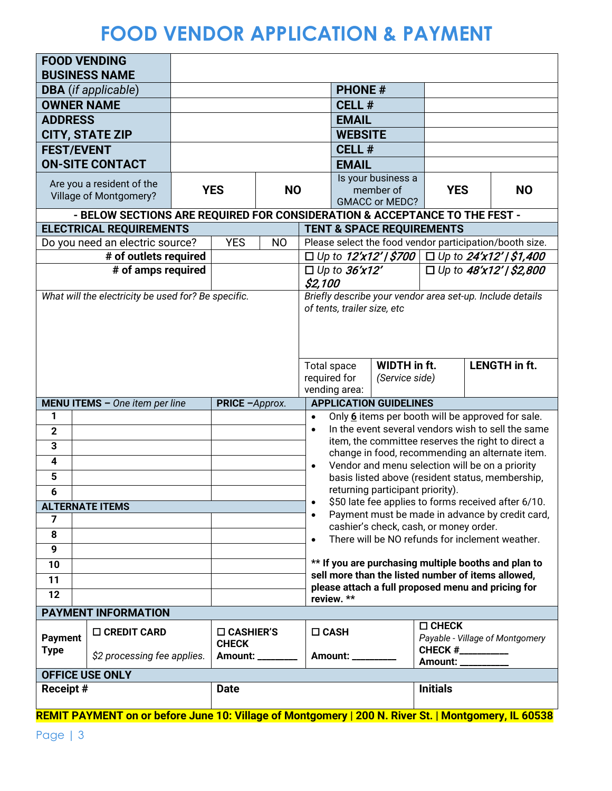# **FOOD VENDOR APPLICATION & PAYMENT**

| <b>FOOD VENDING</b>                     | <b>BUSINESS NAME</b>                                                                                |  |                                     |                |                        |                             |                                                    |                   |  |                                                                                                         |
|-----------------------------------------|-----------------------------------------------------------------------------------------------------|--|-------------------------------------|----------------|------------------------|-----------------------------|----------------------------------------------------|-------------------|--|---------------------------------------------------------------------------------------------------------|
|                                         | <b>DBA</b> (if applicable)                                                                          |  |                                     |                |                        | <b>PHONE#</b>               |                                                    |                   |  |                                                                                                         |
| <b>OWNER NAME</b>                       |                                                                                                     |  |                                     |                |                        | <b>CELL#</b>                |                                                    |                   |  |                                                                                                         |
| <b>ADDRESS</b>                          |                                                                                                     |  |                                     |                |                        | <b>EMAIL</b>                |                                                    |                   |  |                                                                                                         |
|                                         | <b>CITY, STATE ZIP</b>                                                                              |  |                                     |                |                        | <b>WEBSITE</b>              |                                                    |                   |  |                                                                                                         |
| <b>FEST/EVENT</b>                       |                                                                                                     |  |                                     |                |                        | CELL#                       |                                                    |                   |  |                                                                                                         |
|                                         | <b>ON-SITE CONTACT</b>                                                                              |  |                                     |                |                        | <b>EMAIL</b>                |                                                    |                   |  |                                                                                                         |
|                                         |                                                                                                     |  |                                     |                |                        |                             | Is your business a                                 |                   |  |                                                                                                         |
|                                         | Are you a resident of the<br>Village of Montgomery?                                                 |  | <b>YES</b>                          | <b>NO</b>      |                        |                             | member of                                          | <b>YES</b>        |  | <b>NO</b>                                                                                               |
|                                         | - BELOW SECTIONS ARE REQUIRED FOR CONSIDERATION & ACCEPTANCE TO THE FEST -                          |  |                                     |                |                        |                             | <b>GMACC or MEDC?</b>                              |                   |  |                                                                                                         |
|                                         | <b>ELECTRICAL REQUIREMENTS</b>                                                                      |  |                                     |                |                        |                             | <b>TENT &amp; SPACE REQUIREMENTS</b>               |                   |  |                                                                                                         |
|                                         | Do you need an electric source?                                                                     |  | <b>YES</b>                          | N <sub>O</sub> |                        |                             |                                                    |                   |  | Please select the food vendor participation/booth size.                                                 |
|                                         | # of outlets required                                                                               |  |                                     |                |                        |                             |                                                    |                   |  | □ Up to $12'x12'$ / \$700 $\Box$ Up to $24'x12'$ / \$1,400                                              |
|                                         | # of amps required                                                                                  |  |                                     |                |                        | $\Box$ Up to 36'x12'        |                                                    |                   |  | □ Up to $48'x12'$ / \$2,800                                                                             |
|                                         |                                                                                                     |  |                                     |                | \$2,100                |                             |                                                    |                   |  |                                                                                                         |
|                                         | What will the electricity be used for? Be specific.                                                 |  |                                     |                |                        |                             |                                                    |                   |  | Briefly describe your vendor area set-up. Include details                                               |
|                                         |                                                                                                     |  |                                     |                |                        | of tents, trailer size, etc |                                                    |                   |  |                                                                                                         |
|                                         |                                                                                                     |  |                                     |                |                        |                             |                                                    |                   |  |                                                                                                         |
|                                         |                                                                                                     |  |                                     |                |                        |                             |                                                    |                   |  |                                                                                                         |
|                                         |                                                                                                     |  |                                     |                | <b>Total space</b>     |                             | WIDTH in ft.                                       |                   |  | <b>LENGTH</b> in ft.                                                                                    |
|                                         |                                                                                                     |  |                                     |                | required for           |                             | (Service side)                                     |                   |  |                                                                                                         |
|                                         |                                                                                                     |  |                                     | vending area:  |                        |                             |                                                    |                   |  |                                                                                                         |
|                                         | <b>MENU ITEMS</b> - One item per line                                                               |  | PRICE -Approx.                      |                |                        |                             | <b>APPLICATION GUIDELINES</b>                      |                   |  |                                                                                                         |
| 1                                       |                                                                                                     |  |                                     |                | $\bullet$<br>$\bullet$ |                             |                                                    |                   |  | Only 6 items per booth will be approved for sale.<br>In the event several vendors wish to sell the same |
| $\mathbf{2}$<br>$\overline{\mathbf{3}}$ |                                                                                                     |  |                                     |                |                        |                             |                                                    |                   |  | item, the committee reserves the right to direct a                                                      |
| $\overline{\mathbf{4}}$                 |                                                                                                     |  |                                     |                |                        |                             |                                                    |                   |  | change in food, recommending an alternate item.                                                         |
| $5\phantom{1}$                          |                                                                                                     |  |                                     |                | $\bullet$              |                             | Vendor and menu selection will be on a priority    |                   |  |                                                                                                         |
| 6                                       |                                                                                                     |  |                                     |                |                        |                             | returning participant priority).                   |                   |  | basis listed above (resident status, membership,                                                        |
| <b>ALTERNATE ITEMS</b>                  |                                                                                                     |  |                                     |                | $\bullet$              |                             |                                                    |                   |  | \$50 late fee applies to forms received after 6/10.                                                     |
| $\overline{7}$                          |                                                                                                     |  |                                     |                |                        |                             |                                                    |                   |  | Payment must be made in advance by credit card,                                                         |
| 8                                       |                                                                                                     |  |                                     |                |                        |                             | cashier's check, cash, or money order.             |                   |  |                                                                                                         |
| 9                                       |                                                                                                     |  |                                     |                |                        |                             |                                                    |                   |  | There will be NO refunds for inclement weather.                                                         |
| 10                                      |                                                                                                     |  |                                     |                |                        |                             |                                                    |                   |  | ** If you are purchasing multiple booths and plan to                                                    |
| 11                                      |                                                                                                     |  |                                     |                |                        |                             | sell more than the listed number of items allowed, |                   |  |                                                                                                         |
| 12                                      |                                                                                                     |  |                                     |                |                        | review. **                  | please attach a full proposed menu and pricing for |                   |  |                                                                                                         |
|                                         | <b>PAYMENT INFORMATION</b>                                                                          |  |                                     |                |                        |                             |                                                    |                   |  |                                                                                                         |
|                                         |                                                                                                     |  |                                     |                |                        |                             |                                                    | $\square$ CHECK   |  |                                                                                                         |
| <b>Payment</b>                          | □ CREDIT CARD                                                                                       |  | $\square$ CASHIER'S<br><b>CHECK</b> |                | $\Box$ CASH            |                             |                                                    |                   |  | Payable - Village of Montgomery                                                                         |
| <b>Type</b>                             | \$2 processing fee applies.                                                                         |  | Amount: ____                        |                |                        | Amount: _                   |                                                    | CHECK #__________ |  |                                                                                                         |
|                                         | Amount: __________<br><b>OFFICE USE ONLY</b>                                                        |  |                                     |                |                        |                             |                                                    |                   |  |                                                                                                         |
| <b>Receipt#</b>                         |                                                                                                     |  | <b>Date</b>                         |                |                        |                             |                                                    | <b>Initials</b>   |  |                                                                                                         |
|                                         |                                                                                                     |  |                                     |                |                        |                             |                                                    |                   |  |                                                                                                         |
|                                         | REMIT PAYMENT on or before June 10: Village of Montgomery   200 N. River St.   Montgomery, IL 60538 |  |                                     |                |                        |                             |                                                    |                   |  |                                                                                                         |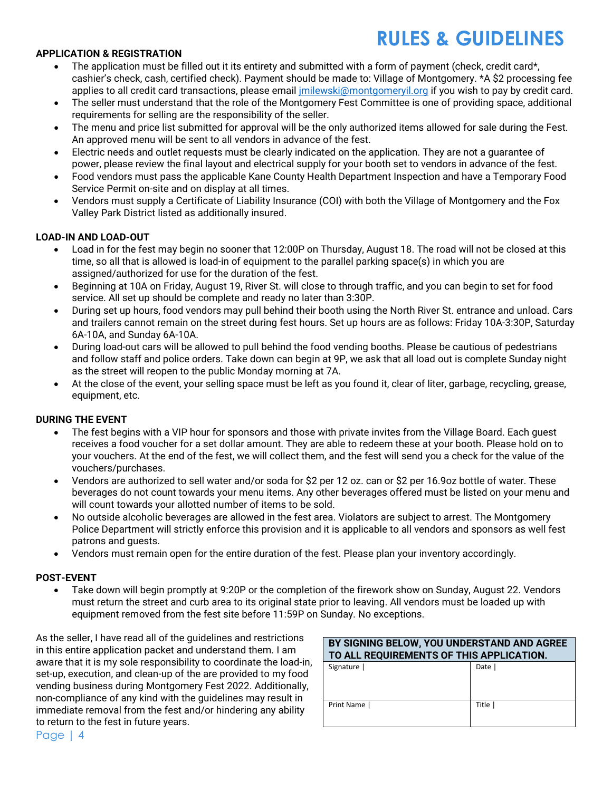# **RULES & GUIDELINES**

### **APPLICATION & REGISTRATION**

- The application must be filled out it its entirety and submitted with a form of payment (check, credit card\*, cashier's check, cash, certified check). Payment should be made to: Village of Montgomery. \*A \$2 processing fee applies to all credit card transactions, please email *imilewski@montgomeryil.org if you wish to pay by credit card.*
- The seller must understand that the role of the Montgomery Fest Committee is one of providing space, additional requirements for selling are the responsibility of the seller.
- The menu and price list submitted for approval will be the only authorized items allowed for sale during the Fest. An approved menu will be sent to all vendors in advance of the fest.
- Electric needs and outlet requests must be clearly indicated on the application. They are not a guarantee of power, please review the final layout and electrical supply for your booth set to vendors in advance of the fest.
- Food vendors must pass the applicable Kane County Health Department Inspection and have a Temporary Food Service Permit on-site and on display at all times.
- Vendors must supply a Certificate of Liability Insurance (COI) with both the Village of Montgomery and the Fox Valley Park District listed as additionally insured.

### **LOAD-IN AND LOAD-OUT**

- Load in for the fest may begin no sooner that 12:00P on Thursday, August 18. The road will not be closed at this time, so all that is allowed is load-in of equipment to the parallel parking space(s) in which you are assigned/authorized for use for the duration of the fest.
- Beginning at 10A on Friday, August 19, River St. will close to through traffic, and you can begin to set for food service. All set up should be complete and ready no later than 3:30P.
- During set up hours, food vendors may pull behind their booth using the North River St. entrance and unload. Cars and trailers cannot remain on the street during fest hours. Set up hours are as follows: Friday 10A-3:30P, Saturday 6A-10A, and Sunday 6A-10A.
- During load-out cars will be allowed to pull behind the food vending booths. Please be cautious of pedestrians and follow staff and police orders. Take down can begin at 9P, we ask that all load out is complete Sunday night as the street will reopen to the public Monday morning at 7A.
- At the close of the event, your selling space must be left as you found it, clear of liter, garbage, recycling, grease, equipment, etc.

### **DURING THE EVENT**

- The fest begins with a VIP hour for sponsors and those with private invites from the Village Board. Each guest receives a food voucher for a set dollar amount. They are able to redeem these at your booth. Please hold on to your vouchers. At the end of the fest, we will collect them, and the fest will send you a check for the value of the vouchers/purchases.
- Vendors are authorized to sell water and/or soda for \$2 per 12 oz. can or \$2 per 16.9oz bottle of water. These beverages do not count towards your menu items. Any other beverages offered must be listed on your menu and will count towards your allotted number of items to be sold.
- No outside alcoholic beverages are allowed in the fest area. Violators are subject to arrest. The Montgomery Police Department will strictly enforce this provision and it is applicable to all vendors and sponsors as well fest patrons and guests.
- Vendors must remain open for the entire duration of the fest. Please plan your inventory accordingly.

#### **POST-EVENT**

• Take down will begin promptly at 9:20P or the completion of the firework show on Sunday, August 22. Vendors must return the street and curb area to its original state prior to leaving. All vendors must be loaded up with equipment removed from the fest site before 11:59P on Sunday. No exceptions.

As the seller, I have read all of the guidelines and restrictions in this entire application packet and understand them. I am aware that it is my sole responsibility to coordinate the load-in, set-up, execution, and clean-up of the are provided to my food vending business during Montgomery Fest 2022. Additionally, non-compliance of any kind with the guidelines may result in immediate removal from the fest and/or hindering any ability to return to the fest in future years.

| BY SIGNING BELOW, YOU UNDERSTAND AND AGREE<br>TO ALL REQUIREMENTS OF THIS APPLICATION. |         |  |  |
|----------------------------------------------------------------------------------------|---------|--|--|
| Signature                                                                              | Date I  |  |  |
| Print Name                                                                             | Title I |  |  |

Page | 4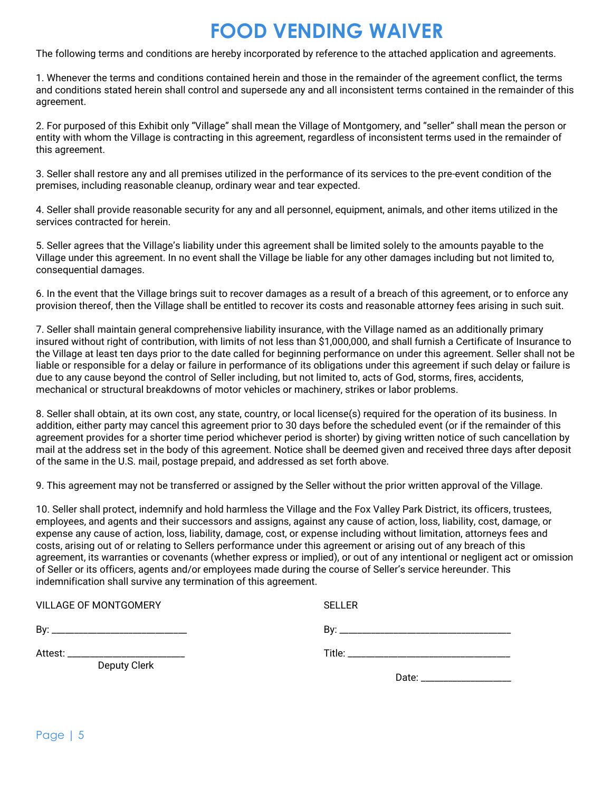## **FOOD VENDING WAIVER**

The following terms and conditions are hereby incorporated by reference to the attached application and agreements.

1. Whenever the terms and conditions contained herein and those in the remainder of the agreement conflict, the terms and conditions stated herein shall control and supersede any and all inconsistent terms contained in the remainder of this agreement.

2. For purposed of this Exhibit only "Village" shall mean the Village of Montgomery, and "seller" shall mean the person or entity with whom the Village is contracting in this agreement, regardless of inconsistent terms used in the remainder of this agreement.

3. Seller shall restore any and all premises utilized in the performance of its services to the pre-event condition of the premises, including reasonable cleanup, ordinary wear and tear expected.

4. Seller shall provide reasonable security for any and all personnel, equipment, animals, and other items utilized in the services contracted for herein.

5. Seller agrees that the Village's liability under this agreement shall be limited solely to the amounts payable to the Village under this agreement. In no event shall the Village be liable for any other damages including but not limited to, consequential damages.

6. In the event that the Village brings suit to recover damages as a result of a breach of this agreement, or to enforce any provision thereof, then the Village shall be entitled to recover its costs and reasonable attorney fees arising in such suit.

7. Seller shall maintain general comprehensive liability insurance, with the Village named as an additionally primary insured without right of contribution, with limits of not less than \$1,000,000, and shall furnish a Certificate of Insurance to the Village at least ten days prior to the date called for beginning performance on under this agreement. Seller shall not be liable or responsible for a delay or failure in performance of its obligations under this agreement if such delay or failure is due to any cause beyond the control of Seller including, but not limited to, acts of God, storms, fires, accidents, mechanical or structural breakdowns of motor vehicles or machinery, strikes or labor problems.

8. Seller shall obtain, at its own cost, any state, country, or local license(s) required for the operation of its business. In addition, either party may cancel this agreement prior to 30 days before the scheduled event (or if the remainder of this agreement provides for a shorter time period whichever period is shorter) by giving written notice of such cancellation by mail at the address set in the body of this agreement. Notice shall be deemed given and received three days after deposit of the same in the U.S. mail, postage prepaid, and addressed as set forth above.

9. This agreement may not be transferred or assigned by the Seller without the prior written approval of the Village.

10. Seller shall protect, indemnify and hold harmless the Village and the Fox Valley Park District, its officers, trustees, employees, and agents and their successors and assigns, against any cause of action, loss, liability, cost, damage, or expense any cause of action, loss, liability, damage, cost, or expense including without limitation, attorneys fees and costs, arising out of or relating to Sellers performance under this agreement or arising out of any breach of this agreement, its warranties or covenants (whether express or implied), or out of any intentional or negligent act or omission of Seller or its officers, agents and/or employees made during the course of Seller's service hereunder. This indemnification shall survive any termination of this agreement.

| <b>VILLAGE OF MONTGOMERY</b>        | <b>SELLER</b>                                                                                                                                                                                                                  |
|-------------------------------------|--------------------------------------------------------------------------------------------------------------------------------------------------------------------------------------------------------------------------------|
|                                     |                                                                                                                                                                                                                                |
| Attest: ___________________________ |                                                                                                                                                                                                                                |
| Deputy Clerk                        | Date: the contract of the contract of the contract of the contract of the contract of the contract of the contract of the contract of the contract of the contract of the contract of the contract of the contract of the cont |
|                                     |                                                                                                                                                                                                                                |